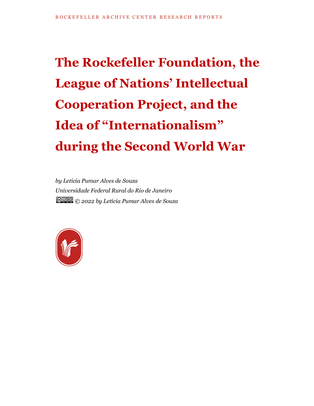# **The Rockefeller Foundation, the League of Nations' Intellectual Cooperation Project, and the Idea of "Internationalism" during the Second World War**

*by Letícia Pumar Alves de Souza Universidade Federal Rural do Rio de Janeiro © 2022 by Letícia Pumar Alves de Souza*

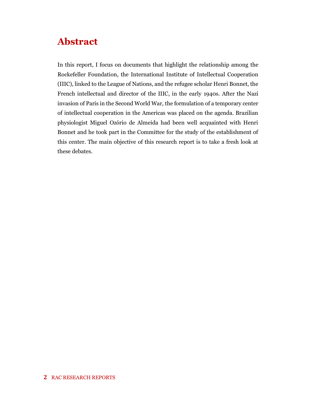## **Abstract**

In this report, I focus on documents that highlight the relationship among the Rockefeller Foundation, the International Institute of Intellectual Cooperation (IIIC), linked to the League of Nations, and the refugee scholar Henri Bonnet, the French intellectual and director of the IIIC, in the early 1940s. After the Nazi invasion of Paris in the Second World War, the formulation of a temporary center of intellectual cooperation in the Americas was placed on the agenda. Brazilian physiologist Miguel Ozório de Almeida had been well acquainted with Henri Bonnet and he took part in the Committee for the study of the establishment of this center. The main objective of this research report is to take a fresh look at these debates.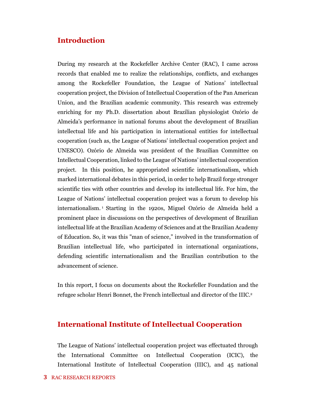#### **Introduction**

During my research at the Rockefeller Archive Center (RAC), I came across records that enabled me to realize the relationships, conflicts, and exchanges among the Rockefeller Foundation, the League of Nations' intellectual cooperation project, the Division of Intellectual Cooperation of the Pan American Union, and the Brazilian academic community. This research was extremely enriching for my Ph.D. dissertation about Brazilian physiologist Ozório de Almeida's performance in national forums about the development of Brazilian intellectual life and his participation in international entities for intellectual cooperation (such as, the League of Nations' intellectual cooperation project and UNESCO). Ozório de Almeida was president of the Brazilian Committee on Intellectual Cooperation, linked to the League of Nations' intellectual cooperation project. In this position, he appropriated scientific internationalism, which marked international debates in this period, in order to help Brazil forge stronger scientific ties with other countries and develop its intellectual life. For him, the League of Nations' intellectual cooperation project was a forum to develop his internationalism. <sup>1</sup> Starting in the 1920s, Miguel Ozório de Almeida held a prominent place in discussions on the perspectives of development of Brazilian intellectual life at the Brazilian Academy of Sciences and at the Brazilian Academy of Education. So, it was this "man of science," involved in the transformation of Brazilian intellectual life, who participated in international organizations, defending scientific internationalism and the Brazilian contribution to the advancement of science.

In this report, I focus on documents about the Rockefeller Foundation and the refugee scholar Henri Bonnet, the French intellectual and director of the IIIC. 2

#### **International Institute of Intellectual Cooperation**

The League of Nations' intellectual cooperation project was effectuated through the International Committee on Intellectual Cooperation (ICIC), the International Institute of Intellectual Cooperation (IIIC), and 45 national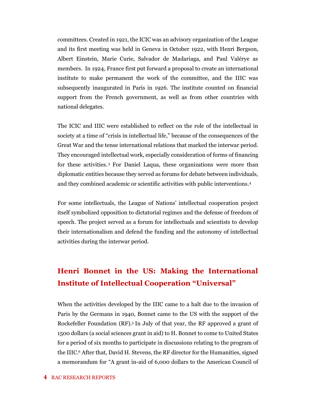committees. Created in 1921, the ICIC was an advisory organization of the League and its first meeting was held in Geneva in October 1922, with Henri Bergson, Albert Einstein, Marie Curie, Salvador de Madariaga, and Paul Valérye as members. In 1924, France first put forward a proposal to create an international institute to make permanent the work of the committee, and the IIIC was subsequently inaugurated in Paris in 1926. The institute counted on financial support from the French government, as well as from other countries with national delegates.

The ICIC and IIIC were established to reflect on the role of the intellectual in society at a time of "crisis in intellectual life," because of the consequences of the Great War and the tense international relations that marked the interwar period. They encouraged intellectual work, especially consideration of forms of financing for these activities. <sup>3</sup> For Daniel Laqua, these organizations were more than diplomatic entities because they served as forums for debate between individuals, and they combined academic or scientific activities with public interventions. 4

For some intellectuals, the League of Nations' intellectual cooperation project itself symbolized opposition to dictatorial regimes and the defense of freedom of speech. The project served as a forum for intellectuals and scientists to develop their internationalism and defend the funding and the autonomy of intellectual activities during the interwar period.

### **Henri Bonnet in the US: Making the International Institute of Intellectual Cooperation "Universal"**

When the activities developed by the IIIC came to a halt due to the invasion of Paris by the Germans in 1940, Bonnet came to the US with the support of the Rockefeller Foundation (RF).<sup>5</sup> In July of that year, the RF approved a grant of 1500 dollars (a social sciences grant in aid) to H. Bonnet to come to United States for a period of six months to participate in discussions relating to the program of the IIIC. <sup>6</sup> After that, David H. Stevens, the RF director for the Humanities, signed a memorandum for "A grant in-aid of 6,000 dollars to the American Council of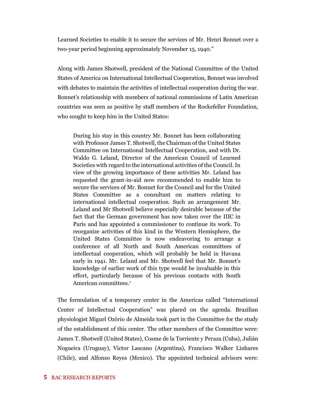Learned Societies to enable it to secure the services of Mr. Henri Bonnet over a two-year period beginning approximately November 15, 1940."

Along with James Shotwell, president of the National Committee of the United States of America on International Intellectual Cooperation, Bonnet was involved with debates to maintain the activities of intellectual cooperation during the war. Bonnet's relationship with members of national commissions of Latin American countries was seen as positive by staff members of the Rockefeller Foundation, who sought to keep him in the United States:

During his stay in this country Mr. Bonnet has been collaborating with Professor James T. Shotwell, the Chairman of the United States Committee on International Intellectual Cooperation, and with Dr. Waldo G. Leland, Director of the American Council of Learned Societies with regard to the international activities of the Council. In view of the growing importance of these activities Mr. Leland has requested the grant-in-aid now recommended to enable him to secure the services of Mr. Bonnet for the Council and for the United States Committee as a consultant on matters relating to international intellectual cooperation. Such an arrangement Mr. Leland and Mr Shotwell believe especially desirable because of the fact that the German government has now taken over the IIIC in Paris and has appointed a commissioner to continue its work. To reorganize activities of this kind in the Western Hemisphere, the United States Committee is now endeavoring to arrange a conference of all North and South American committees of intellectual cooperation, which will probably be held in Havana early in 1941. Mr. Leland and Mr. Shotwell feel that Mr. Bonnet's knowledge of earlier work of this type would be invaluable in this effort, particularly because of his previous contacts with South American committees.<sup>7</sup>

The formulation of a temporary center in the Americas called "International Center of Intellectual Cooperation" was placed on the agenda. Brazilian physiologist Miguel Ozório de Almeida took part in the Committee for the study of the establishment of this center. The other members of the Committee were: James T. Shotwell (United States), Cosme de la Torriente y Peraza (Cuba), Julián Nogueira (Uruguay), Victor Lascano (Argentina), Francisco Walker Linhares (Chile), and Alfonso Reyes (Mexico). The appointed technical advisors were: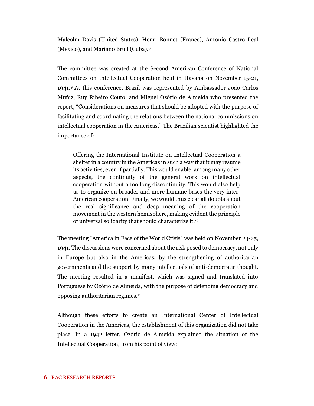Malcolm Davis (United States), Henri Bonnet (France), Antonio Castro Leal (Mexico), and Mariano Brull (Cuba).<sup>8</sup>

The committee was created at the Second American Conference of National Committees on Intellectual Cooperation held in Havana on November 15-21, 1941.<sup>9</sup> At this conference, Brazil was represented by Ambassador João Carlos Muñiz, Ruy Ribeiro Couto, and Miguel Ozório de Almeida who presented the report, "Considerations on measures that should be adopted with the purpose of facilitating and coordinating the relations between the national commissions on intellectual cooperation in the Americas." The Brazilian scientist highlighted the importance of:

Offering the International Institute on Intellectual Cooperation a shelter in a country in the Americas in such a way that it may resume its activities, even if partially. This would enable, among many other aspects, the continuity of the general work on intellectual cooperation without a too long discontinuity. This would also help us to organize on broader and more humane bases the very inter-American cooperation. Finally, we would thus clear all doubts about the real significance and deep meaning of the cooperation movement in the western hemisphere, making evident the principle of universal solidarity that should characterize it.<sup>10</sup>

The meeting "America in Face of the World Crisis" was held on November 23-25, 1941. The discussions were concerned about the risk posed to democracy, not only in Europe but also in the Americas, by the strengthening of authoritarian governments and the support by many intellectuals of anti-democratic thought. The meeting resulted in a manifest, which was signed and translated into Portuguese by Ozório de Almeida, with the purpose of defending democracy and opposing authoritarian regimes.<sup>11</sup>

Although these efforts to create an International Center of Intellectual Cooperation in the Americas, the establishment of this organization did not take place. In a 1942 letter, Ozório de Almeida explained the situation of the Intellectual Cooperation, from his point of view: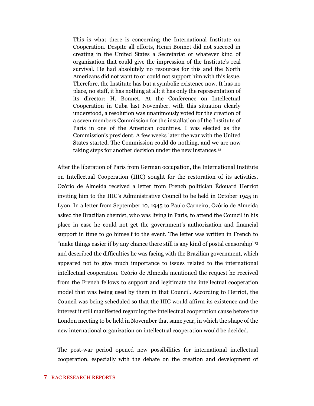This is what there is concerning the International Institute on Cooperation. Despite all efforts, Henri Bonnet did not succeed in creating in the United States a Secretariat or whatever kind of organization that could give the impression of the Institute's real survival. He had absolutely no resources for this and the North Americans did not want to or could not support him with this issue. Therefore, the Institute has but a symbolic existence now. It has no place, no staff, it has nothing at all; it has only the representation of its director: H. Bonnet. At the Conference on Intellectual Cooperation in Cuba last November, with this situation clearly understood, a resolution was unanimously voted for the creation of a seven members Commission for the installation of the Institute of Paris in one of the American countries. I was elected as the Commission's president. A few weeks later the war with the United States started. The Commission could do nothing, and we are now taking steps for another decision under the new instances.<sup>12</sup>

After the liberation of Paris from German occupation, the International Institute on Intellectual Cooperation (IIIC) sought for the restoration of its activities. Ozório de Almeida received a letter from French politician Édouard Herriot inviting him to the IIIC's Administrative Council to be held in October 1945 in Lyon. In a letter from September 10, 1945 to Paulo Carneiro, Ozório de Almeida asked the Brazilian chemist, who was living in Paris, to attend the Council in his place in case he could not get the government's authorization and financial support in time to go himself to the event. The letter was written in French to "make things easier if by any chance there still is any kind of postal censorship"<sup>13</sup> and described the difficulties he was facing with the Brazilian government, which appeared not to give much importance to issues related to the international intellectual cooperation. Ozório de Almeida mentioned the request he received from the French fellows to support and legitimate the intellectual cooperation model that was being used by them in that Council. According to Herriot, the Council was being scheduled so that the IIIC would affirm its existence and the interest it still manifested regarding the intellectual cooperation cause before the London meeting to be held in November that same year, in which the shape of the new international organization on intellectual cooperation would be decided.

The post-war period opened new possibilities for international intellectual cooperation, especially with the debate on the creation and development of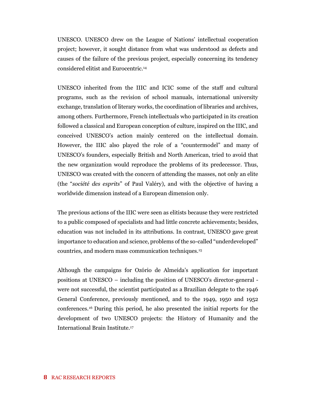UNESCO. UNESCO drew on the League of Nations' intellectual cooperation project; however, it sought distance from what was understood as defects and causes of the failure of the previous project, especially concerning its tendency considered elitist and Eurocentric.<sup>14</sup>

UNESCO inherited from the IIIC and ICIC some of the staff and cultural programs, such as the revision of school manuals, international university exchange, translation of literary works, the coordination of libraries and archives, among others. Furthermore, French intellectuals who participated in its creation followed a classical and European conception of culture, inspired on the IIIC, and conceived UNESCO's action mainly centered on the intellectual domain. However, the IIIC also played the role of a "countermodel" and many of UNESCO's founders, especially British and North American, tried to avoid that the new organization would reproduce the problems of its predecessor. Thus, UNESCO was created with the concern of attending the masses, not only an elite (the "*société des esprits*" of Paul Valéry), and with the objective of having a worldwide dimension instead of a European dimension only.

The previous actions of the IIIC were seen as elitists because they were restricted to a public composed of specialists and had little concrete achievements; besides, education was not included in its attributions. In contrast, UNESCO gave great importance to education and science, problems of the so-called "underdeveloped" countries, and modern mass communication techniques.<sup>15</sup>

Although the campaigns for Ozório de Almeida's application for important positions at UNESCO – including the position of UNESCO's director-general were not successful, the scientist participated as a Brazilian delegate to the 1946 General Conference, previously mentioned, and to the 1949, 1950 and 1952 conferences. <sup>16</sup> During this period, he also presented the initial reports for the development of two UNESCO projects: the History of Humanity and the International Brain Institute.17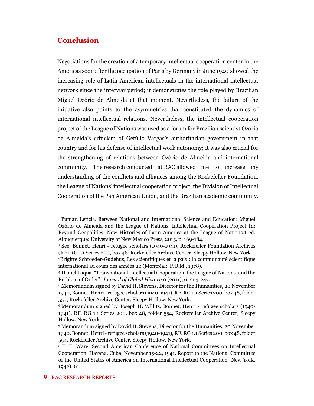#### **Conclusion**

Negotiations for the creation of a temporary intellectual cooperation center in the Americas soon after the occupation of Paris by Germany in June 1940 showed the increasing role of Latin American intellectuals in the international intellectual network since the interwar period; it demonstrates the role played by Brazilian Miguel Ozório de Almeida at that moment. Nevertheless, the failure of the initiative also points to the asymmetries that constituted the dynamics of international intellectual relations. Nevertheless, the intellectual cooperation project of the League of Nations was used as a forum for Brazilian scientist Ozório de Almeida's criticism of Getúlio Vargas's authoritarian government in that country and for his defense of intellectual work autonomy; it was also crucial for the strengthening of relations between Ozório de Almeida and international community. The research conducted at RAC allowed me to increase my understanding of the conflicts and alliances among the Rockefeller Foundation, the League of Nations' intellectual cooperation project, the Division of Intellectual Cooperation of the Pan American Union, and the Brazilian academic community.

<sup>1</sup> Pumar, Letícia. Between National and International Science and Education: Miguel Ozório de Almeida and the League of Nations' Intellectual Cooperation Project In: Beyond Geopolitics: New Histories of Latin America at the League of Nations.1 ed. Albuquerque: University of New Mexico Press, 2015, p. 169-184.

<sup>2</sup> See, Bonnet, Henri - refugee scholars (1940-1941), Rockefeller Foundation Archives (RF) RG 1.1 Series 200, box 48, Rockefeller Archive Center, Sleepy Hollow, New York.

<sup>3</sup>Brigitte Schroeder-Gudehus, Les scientifiques et la paix : la communauté scientifique international au cours des années 20 (Montréal: P.U.M., 1978).

<sup>4</sup> Daniel Laqua. "Transnational Intellectual Cooperation, the League of Nations, and the Problem of Order". *Journal of Global History* 6 (2011), 6: 223-247.

<sup>5</sup> Memorandum signed by David H. Stevens, Director for the Humanities, 20 November 1940, Bonnet, Henri - refugee scholars (1940-1941), RF. RG 1.1 Series 200, box 48, folder 554, Rockefeller Archive Center, Sleepy Hollow, New York.

<sup>6</sup> Memorandum signed by Joseph H. Willits. Bonnet, Henri - refugee scholars (1940- 1941), RF. RG 1.1 Series 200, box 48, folder 554, Rockefeller Archive Center, Sleepy Hollow, New York.

<sup>7</sup> Memorandum signed by David H. Stevens, Director for the Humanities, 20 November 1940, Bonnet, Henri - refugee scholars (1940-1941), RF. RG 1.1 Series 200, box 48, folder 554, Rockefeller Archive Center, Sleepy Hollow, New York.

<sup>8</sup> E. E. Ware, Second American Conference of National Committees on Intellectual Cooperation. Havana, Cuba, November 15-22, 1941. Report to the National Committee of the United States of America on International Intellectual Cooperation (New York, 1942), 61.